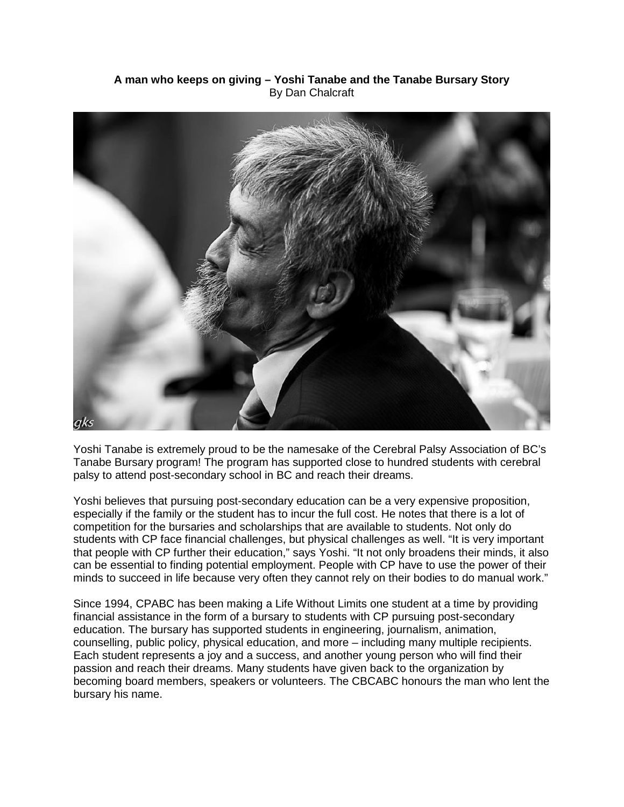## **A man who keeps on giving – Yoshi Tanabe and the Tanabe Bursary Story** By Dan Chalcraft



Yoshi Tanabe is extremely proud to be the namesake of the Cerebral Palsy Association of BC's Tanabe Bursary program! The program has supported close to hundred students with cerebral palsy to attend post-secondary school in BC and reach their dreams.

Yoshi believes that pursuing post-secondary education can be a very expensive proposition, especially if the family or the student has to incur the full cost. He notes that there is a lot of competition for the bursaries and scholarships that are available to students. Not only do students with CP face financial challenges, but physical challenges as well. "It is very important that people with CP further their education," says Yoshi. "It not only broadens their minds, it also can be essential to finding potential employment. People with CP have to use the power of their minds to succeed in life because very often they cannot rely on their bodies to do manual work."

Since 1994, CPABC has been making a Life Without Limits one student at a time by providing financial assistance in the form of a bursary to students with CP pursuing post-secondary education. The bursary has supported students in engineering, journalism, animation, counselling, public policy, physical education, and more – including many multiple recipients. Each student represents a joy and a success, and another young person who will find their passion and reach their dreams. Many students have given back to the organization by becoming board members, speakers or volunteers. The CBCABC honours the man who lent the bursary his name.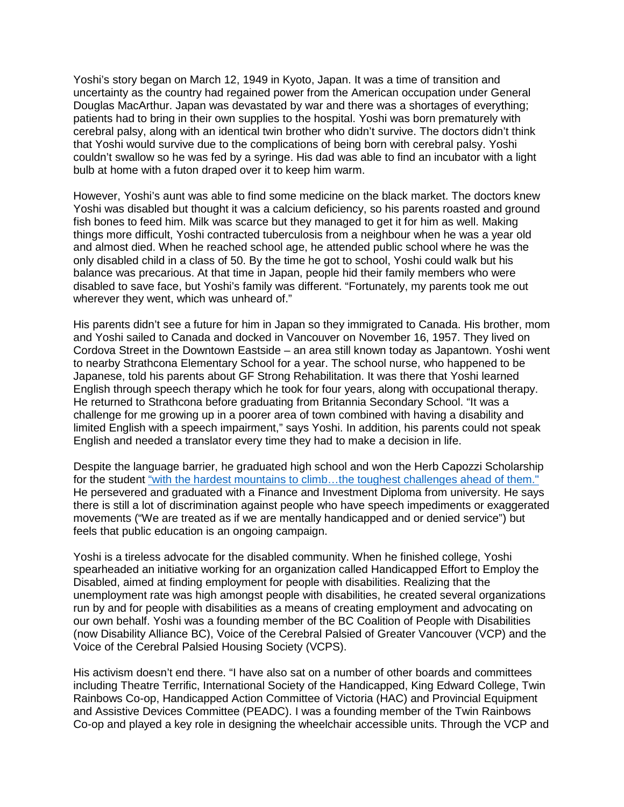Yoshi's story began on March 12, 1949 in Kyoto, Japan. It was a time of transition and uncertainty as the country had regained power from the American occupation under General Douglas MacArthur. Japan was devastated by war and there was a shortages of everything; patients had to bring in their own supplies to the hospital. Yoshi was born prematurely with cerebral palsy, along with an identical twin brother who didn't survive. The doctors didn't think that Yoshi would survive due to the complications of being born with cerebral palsy. Yoshi couldn't swallow so he was fed by a syringe. His dad was able to find an incubator with a light bulb at home with a futon draped over it to keep him warm.

However, Yoshi's aunt was able to find some medicine on the black market. The doctors knew Yoshi was disabled but thought it was a calcium deficiency, so his parents roasted and ground fish bones to feed him. Milk was scarce but they managed to get it for him as well. Making things more difficult, Yoshi contracted tuberculosis from a neighbour when he was a year old and almost died. When he reached school age, he attended public school where he was the only disabled child in a class of 50. By the time he got to school, Yoshi could walk but his balance was precarious. At that time in Japan, people hid their family members who were disabled to save face, but Yoshi's family was different. "Fortunately, my parents took me out wherever they went, which was unheard of."

His parents didn't see a future for him in Japan so they immigrated to Canada. His brother, mom and Yoshi sailed to Canada and docked in Vancouver on November 16, 1957. They lived on Cordova Street in the Downtown Eastside – an area still known today as Japantown. Yoshi went to nearby Strathcona Elementary School for a year. The school nurse, who happened to be Japanese, told his parents about GF Strong Rehabilitation. It was there that Yoshi learned English through speech therapy which he took for four years, along with occupational therapy. He returned to Strathcona before graduating from Britannia Secondary School. "It was a challenge for me growing up in a poorer area of town combined with having a disability and limited English with a speech impairment," says Yoshi. In addition, his parents could not speak English and needed a translator every time they had to make a decision in life.

Despite the language barrier, he graduated high school and won the Herb Capozzi Scholarship for the student "with the hardest mountains to climb...the toughest challenges ahead of them." He persevered and graduated with a Finance and Investment Diploma from university. He says there is still a lot of discrimination against people who have speech impediments or exaggerated movements ("We are treated as if we are mentally handicapped and or denied service") but feels that public education is an ongoing campaign.

Yoshi is a tireless advocate for the disabled community. When he finished college, Yoshi spearheaded an initiative working for an organization called Handicapped Effort to Employ the Disabled, aimed at finding employment for people with disabilities. Realizing that the unemployment rate was high amongst people with disabilities, he created several organizations run by and for people with disabilities as a means of creating employment and advocating on our own behalf. Yoshi was a founding member of the BC Coalition of People with Disabilities (now Disability Alliance BC), Voice of the Cerebral Palsied of Greater Vancouver (VCP) and the Voice of the Cerebral Palsied Housing Society (VCPS).

His activism doesn't end there. "I have also sat on a number of other boards and committees including Theatre Terrific, International Society of the Handicapped, King Edward College, Twin Rainbows Co-op, Handicapped Action Committee of Victoria (HAC) and Provincial Equipment and Assistive Devices Committee (PEADC). I was a founding member of the Twin Rainbows Co-op and played a key role in designing the wheelchair accessible units. Through the VCP and